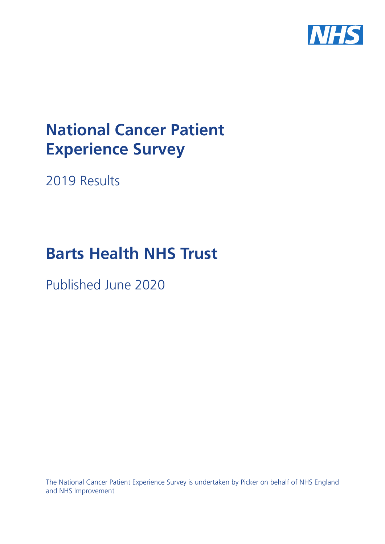

# **National Cancer Patient Experience Survey**

2019 Results

# **Barts Health NHS Trust**

Published June 2020

The National Cancer Patient Experience Survey is undertaken by Picker on behalf of NHS England and NHS Improvement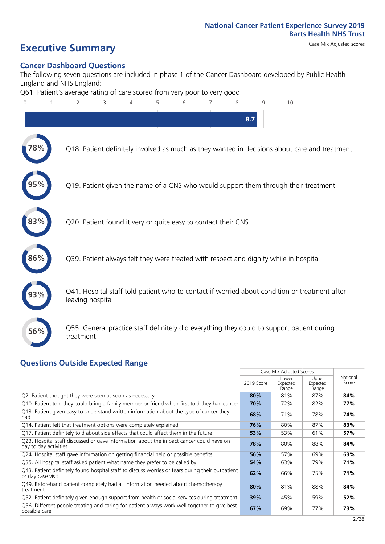### **Executive Summary** Case Mix Adjusted scores

#### **Cancer Dashboard Questions**

The following seven questions are included in phase 1 of the Cancer Dashboard developed by Public Health England and NHS England:

Q61. Patient's average rating of care scored from very poor to very good



#### **Questions Outside Expected Range**

|                                                                                                                       |            | Case Mix Adjusted Scores   |                            |                   |
|-----------------------------------------------------------------------------------------------------------------------|------------|----------------------------|----------------------------|-------------------|
|                                                                                                                       | 2019 Score | Lower<br>Expected<br>Range | Upper<br>Expected<br>Range | National<br>Score |
| Q2. Patient thought they were seen as soon as necessary                                                               | 80%        | 81%                        | 87%                        | 84%               |
| Q10. Patient told they could bring a family member or friend when first told they had cancer                          | 70%        | 72%                        | 82%                        | 77%               |
| Q13. Patient given easy to understand written information about the type of cancer they<br>had                        | 68%        | 71%                        | 78%                        | 74%               |
| Q14. Patient felt that treatment options were completely explained                                                    | 76%        | 80%                        | 87%                        | 83%               |
| Q17. Patient definitely told about side effects that could affect them in the future                                  | 53%        | 53%                        | 61%                        | 57%               |
| Q23. Hospital staff discussed or gave information about the impact cancer could have on<br>day to day activities      | 78%        | 80%                        | 88%                        | 84%               |
| Q24. Hospital staff gave information on getting financial help or possible benefits                                   | 56%        | 57%                        | 69%                        | 63%               |
| Q35. All hospital staff asked patient what name they prefer to be called by                                           | 54%        | 63%                        | 79%                        | 71%               |
| Q43. Patient definitely found hospital staff to discuss worries or fears during their outpatient<br>or day case visit | 62%        | 66%                        | 75%                        | 71%               |
| Q49. Beforehand patient completely had all information needed about chemotherapy<br>treatment                         | 80%        | 81%                        | 88%                        | 84%               |
| Q52. Patient definitely given enough support from health or social services during treatment                          | 39%        | 45%                        | 59%                        | 52%               |
| Q56. Different people treating and caring for patient always work well together to give best<br>possible care         | 67%        | 69%                        | 77%                        | 73%               |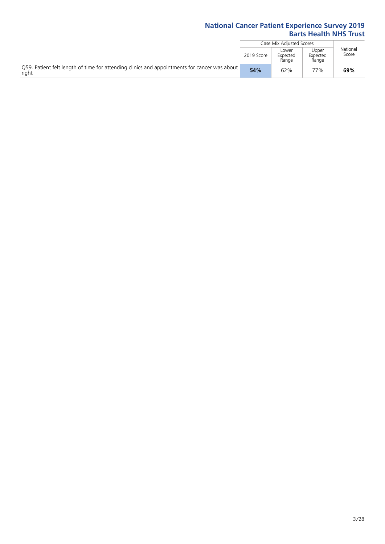|                                                                                                       |            | Case Mix Adjusted Scores   |                            |                   |
|-------------------------------------------------------------------------------------------------------|------------|----------------------------|----------------------------|-------------------|
|                                                                                                       | 2019 Score | Lower<br>Expected<br>Range | Upper<br>Expected<br>Range | National<br>Score |
| O59. Patient felt length of time for attending clinics and appointments for cancer was about<br>right | 54%        | 62%                        | 77%                        | 69%               |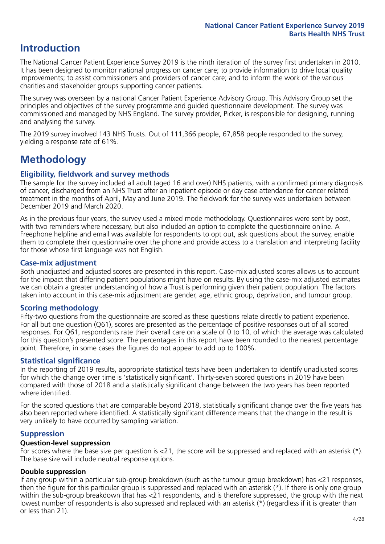### **Introduction**

The National Cancer Patient Experience Survey 2019 is the ninth iteration of the survey first undertaken in 2010. It has been designed to monitor national progress on cancer care; to provide information to drive local quality improvements; to assist commissioners and providers of cancer care; and to inform the work of the various charities and stakeholder groups supporting cancer patients.

The survey was overseen by a national Cancer Patient Experience Advisory Group. This Advisory Group set the principles and objectives of the survey programme and guided questionnaire development. The survey was commissioned and managed by NHS England. The survey provider, Picker, is responsible for designing, running and analysing the survey.

The 2019 survey involved 143 NHS Trusts. Out of 111,366 people, 67,858 people responded to the survey, yielding a response rate of 61%.

### **Methodology**

#### **Eligibility, eldwork and survey methods**

The sample for the survey included all adult (aged 16 and over) NHS patients, with a confirmed primary diagnosis of cancer, discharged from an NHS Trust after an inpatient episode or day case attendance for cancer related treatment in the months of April, May and June 2019. The fieldwork for the survey was undertaken between December 2019 and March 2020.

As in the previous four years, the survey used a mixed mode methodology. Questionnaires were sent by post, with two reminders where necessary, but also included an option to complete the questionnaire online. A Freephone helpline and email was available for respondents to opt out, ask questions about the survey, enable them to complete their questionnaire over the phone and provide access to a translation and interpreting facility for those whose first language was not English.

#### **Case-mix adjustment**

Both unadjusted and adjusted scores are presented in this report. Case-mix adjusted scores allows us to account for the impact that differing patient populations might have on results. By using the case-mix adjusted estimates we can obtain a greater understanding of how a Trust is performing given their patient population. The factors taken into account in this case-mix adjustment are gender, age, ethnic group, deprivation, and tumour group.

#### **Scoring methodology**

Fifty-two questions from the questionnaire are scored as these questions relate directly to patient experience. For all but one question (Q61), scores are presented as the percentage of positive responses out of all scored responses. For Q61, respondents rate their overall care on a scale of 0 to 10, of which the average was calculated for this question's presented score. The percentages in this report have been rounded to the nearest percentage point. Therefore, in some cases the figures do not appear to add up to 100%.

#### **Statistical significance**

In the reporting of 2019 results, appropriate statistical tests have been undertaken to identify unadjusted scores for which the change over time is 'statistically significant'. Thirty-seven scored questions in 2019 have been compared with those of 2018 and a statistically significant change between the two years has been reported where identified.

For the scored questions that are comparable beyond 2018, statistically significant change over the five years has also been reported where identified. A statistically significant difference means that the change in the result is very unlikely to have occurred by sampling variation.

#### **Suppression**

#### **Question-level suppression**

For scores where the base size per question is  $<$ 21, the score will be suppressed and replaced with an asterisk (\*). The base size will include neutral response options.

#### **Double suppression**

If any group within a particular sub-group breakdown (such as the tumour group breakdown) has <21 responses, then the figure for this particular group is suppressed and replaced with an asterisk (\*). If there is only one group within the sub-group breakdown that has <21 respondents, and is therefore suppressed, the group with the next lowest number of respondents is also supressed and replaced with an asterisk (\*) (regardless if it is greater than or less than 21).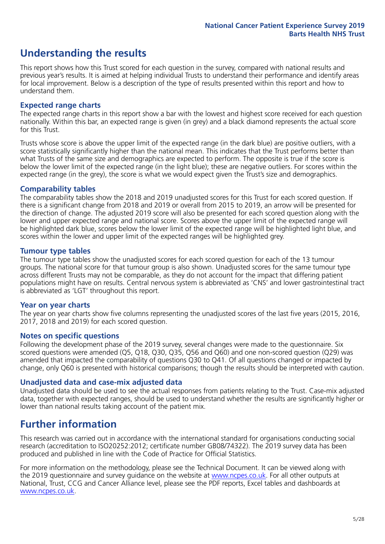### **Understanding the results**

This report shows how this Trust scored for each question in the survey, compared with national results and previous year's results. It is aimed at helping individual Trusts to understand their performance and identify areas for local improvement. Below is a description of the type of results presented within this report and how to understand them.

#### **Expected range charts**

The expected range charts in this report show a bar with the lowest and highest score received for each question nationally. Within this bar, an expected range is given (in grey) and a black diamond represents the actual score for this Trust.

Trusts whose score is above the upper limit of the expected range (in the dark blue) are positive outliers, with a score statistically significantly higher than the national mean. This indicates that the Trust performs better than what Trusts of the same size and demographics are expected to perform. The opposite is true if the score is below the lower limit of the expected range (in the light blue); these are negative outliers. For scores within the expected range (in the grey), the score is what we would expect given the Trust's size and demographics.

#### **Comparability tables**

The comparability tables show the 2018 and 2019 unadjusted scores for this Trust for each scored question. If there is a significant change from 2018 and 2019 or overall from 2015 to 2019, an arrow will be presented for the direction of change. The adjusted 2019 score will also be presented for each scored question along with the lower and upper expected range and national score. Scores above the upper limit of the expected range will be highlighted dark blue, scores below the lower limit of the expected range will be highlighted light blue, and scores within the lower and upper limit of the expected ranges will be highlighted grey.

#### **Tumour type tables**

The tumour type tables show the unadjusted scores for each scored question for each of the 13 tumour groups. The national score for that tumour group is also shown. Unadjusted scores for the same tumour type across different Trusts may not be comparable, as they do not account for the impact that differing patient populations might have on results. Central nervous system is abbreviated as 'CNS' and lower gastrointestinal tract is abbreviated as 'LGT' throughout this report.

#### **Year on year charts**

The year on year charts show five columns representing the unadjusted scores of the last five years (2015, 2016, 2017, 2018 and 2019) for each scored question.

#### **Notes on specific questions**

Following the development phase of the 2019 survey, several changes were made to the questionnaire. Six scored questions were amended (Q5, Q18, Q30, Q35, Q56 and Q60) and one non-scored question (Q29) was amended that impacted the comparability of questions Q30 to Q41. Of all questions changed or impacted by change, only Q60 is presented with historical comparisons; though the results should be interpreted with caution.

#### **Unadjusted data and case-mix adjusted data**

Unadjusted data should be used to see the actual responses from patients relating to the Trust. Case-mix adjusted data, together with expected ranges, should be used to understand whether the results are significantly higher or lower than national results taking account of the patient mix.

### **Further information**

This research was carried out in accordance with the international standard for organisations conducting social research (accreditation to ISO20252:2012; certificate number GB08/74322). The 2019 survey data has been produced and published in line with the Code of Practice for Official Statistics.

For more information on the methodology, please see the Technical Document. It can be viewed along with the 2019 questionnaire and survey quidance on the website at [www.ncpes.co.uk](https://www.ncpes.co.uk/supporting-documents). For all other outputs at National, Trust, CCG and Cancer Alliance level, please see the PDF reports, Excel tables and dashboards at [www.ncpes.co.uk.](https://www.ncpes.co.uk/current-results)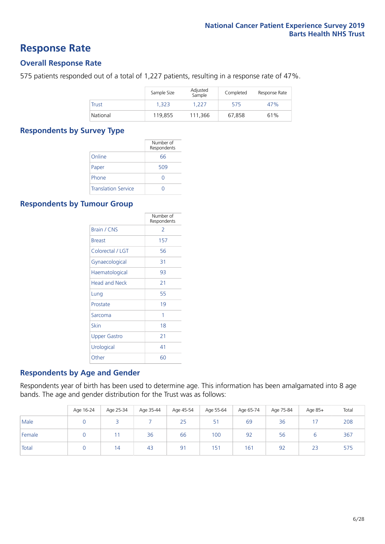### **Response Rate**

#### **Overall Response Rate**

575 patients responded out of a total of 1,227 patients, resulting in a response rate of 47%.

|              | Sample Size | Adjusted<br>Sample | Completed | Response Rate |
|--------------|-------------|--------------------|-----------|---------------|
| <b>Trust</b> | 1.323       | 1.227              | 575       | 47%           |
| National     | 119,855     | 111.366            | 67.858    | 61%           |

#### **Respondents by Survey Type**

|                            | Number of<br>Respondents |
|----------------------------|--------------------------|
| Online                     | 66                       |
| Paper                      | 509                      |
| Phone                      | $\left( \right)$         |
| <b>Translation Service</b> |                          |

### **Respondents by Tumour Group**

|                      | Number of<br>Respondents |
|----------------------|--------------------------|
| <b>Brain / CNS</b>   | $\mathcal{P}$            |
| <b>Breast</b>        | 157                      |
| Colorectal / LGT     | 56                       |
| Gynaecological       | 31                       |
| Haematological       | 93                       |
| <b>Head and Neck</b> | 21                       |
| Lung                 | 55                       |
| Prostate             | 19                       |
| Sarcoma              | 1                        |
| Skin                 | 18                       |
| <b>Upper Gastro</b>  | 21                       |
| Urological           | 41                       |
| Other                | 60                       |

#### **Respondents by Age and Gender**

Respondents year of birth has been used to determine age. This information has been amalgamated into 8 age bands. The age and gender distribution for the Trust was as follows:

|        | Age 16-24 | Age 25-34 | Age 35-44 | Age 45-54 | Age 55-64 | Age 65-74 | Age 75-84 | Age 85+ | Total |
|--------|-----------|-----------|-----------|-----------|-----------|-----------|-----------|---------|-------|
| Male   |           |           |           | 25        | 51        | 69        | 36        |         | 208   |
| Female |           |           | 36        | 66        | 100       | 92        | 56        |         | 367   |
| Total  |           | 14        | 43        | 91        | 151       | 161       | 92        | 23      | 575   |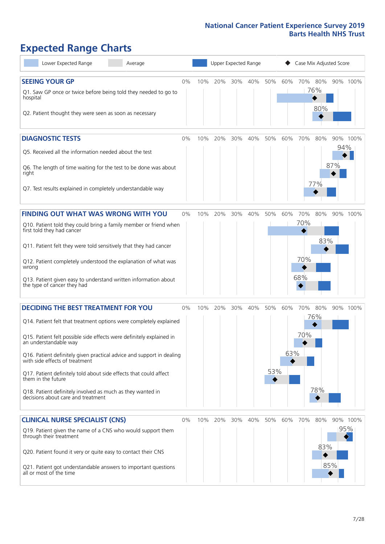### **Expected Range Charts**

| Lower Expected Range<br>Average                                                                                                                                                                                                                                                                                                                                                                                                                                                                                             | Upper Expected Range<br>Case Mix Adjusted Score |     |     |     |     |            |            |                          |                   |            |          |
|-----------------------------------------------------------------------------------------------------------------------------------------------------------------------------------------------------------------------------------------------------------------------------------------------------------------------------------------------------------------------------------------------------------------------------------------------------------------------------------------------------------------------------|-------------------------------------------------|-----|-----|-----|-----|------------|------------|--------------------------|-------------------|------------|----------|
| <b>SEEING YOUR GP</b><br>Q1. Saw GP once or twice before being told they needed to go to<br>hospital<br>Q2. Patient thought they were seen as soon as necessary                                                                                                                                                                                                                                                                                                                                                             | 0%                                              | 10% | 20% | 30% | 40% | 50%        | 60%        | 70%                      | 80%<br>76%<br>80% |            | 90% 100% |
| <b>DIAGNOSTIC TESTS</b><br>Q5. Received all the information needed about the test<br>Q6. The length of time waiting for the test to be done was about<br>right<br>Q7. Test results explained in completely understandable way                                                                                                                                                                                                                                                                                               | 0%                                              | 10% | 20% | 30% | 40% | 50%        | 60%        | 70%                      | 80%<br>77%        | 94%<br>87% | 90% 100% |
| <b>FINDING OUT WHAT WAS WRONG WITH YOU</b><br>Q10. Patient told they could bring a family member or friend when<br>first told they had cancer<br>Q11. Patient felt they were told sensitively that they had cancer<br>Q12. Patient completely understood the explanation of what was<br>wrong<br>Q13. Patient given easy to understand written information about<br>the type of cancer they had                                                                                                                             | 0%                                              | 10% | 20% | 30% | 40% | 50%        | 60%        | 70%<br>70%<br>70%<br>68% | 80%<br>83%        |            | 90% 100% |
| <b>DECIDING THE BEST TREATMENT FOR YOU</b><br>Q14. Patient felt that treatment options were completely explained<br>Q15. Patient felt possible side effects were definitely explained in<br>an understandable way<br>Q16. Patient definitely given practical advice and support in dealing<br>with side effects of treatment<br>Q17. Patient definitely told about side effects that could affect<br>them in the future<br>Q18. Patient definitely involved as much as they wanted in<br>decisions about care and treatment | 0%                                              | 10% | 20% | 30% | 40% | 50%<br>53% | 60%<br>63% | 70% 80%<br>70%           | 76%<br>78%        |            | 90% 100% |
| <b>CLINICAL NURSE SPECIALIST (CNS)</b><br>Q19. Patient given the name of a CNS who would support them<br>through their treatment<br>Q20. Patient found it very or quite easy to contact their CNS<br>Q21. Patient got understandable answers to important questions<br>all or most of the time                                                                                                                                                                                                                              | 0%                                              | 10% | 20% | 30% | 40% | 50%        | 60%        | 70%                      | 80%<br>83%        | 95%<br>85% | 90% 100% |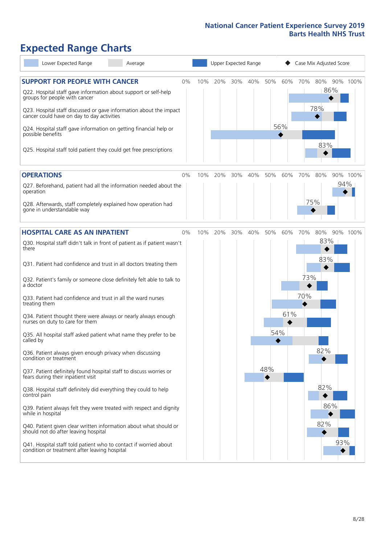## **Expected Range Charts**

| Lower Expected Range<br>Average                                                                                                                 | Upper Expected Range<br>Case Mix Adjusted Score |  |            |     |     |     |     |            |     |          |
|-------------------------------------------------------------------------------------------------------------------------------------------------|-------------------------------------------------|--|------------|-----|-----|-----|-----|------------|-----|----------|
| <b>SUPPORT FOR PEOPLE WITH CANCER</b><br>0%<br>Q22. Hospital staff gave information about support or self-help<br>groups for people with cancer | 10%                                             |  | 20%<br>30% | 40% | 50% | 60% | 70% | 80%<br>86% |     | 90% 100% |
| Q23. Hospital staff discussed or gave information about the impact<br>cancer could have on day to day activities                                |                                                 |  |            |     |     |     |     | 78%        |     |          |
| Q24. Hospital staff gave information on getting financial help or<br>possible benefits                                                          |                                                 |  |            |     |     | 56% |     |            |     |          |
| Q25. Hospital staff told patient they could get free prescriptions                                                                              |                                                 |  |            |     |     |     |     | 83%        |     |          |
| <b>OPERATIONS</b><br>0%                                                                                                                         | 10%                                             |  | 20%<br>30% | 40% | 50% | 60% | 70% | 80%        |     | 90% 100% |
| Q27. Beforehand, patient had all the information needed about the<br>operation                                                                  |                                                 |  |            |     |     |     |     |            | 94% |          |
| Q28. Afterwards, staff completely explained how operation had<br>gone in understandable way                                                     |                                                 |  |            |     |     |     |     | 75%        |     |          |
| <b>HOSPITAL CARE AS AN INPATIENT</b><br>0%                                                                                                      | 10%                                             |  | 20%<br>30% | 40% | 50% | 60% | 70% | 80%        |     | 90% 100% |
| Q30. Hospital staff didn't talk in front of patient as if patient wasn't<br>there                                                               |                                                 |  |            |     |     |     |     | 83%        |     |          |
| Q31. Patient had confidence and trust in all doctors treating them                                                                              |                                                 |  |            |     |     |     |     | 83%        |     |          |
| Q32. Patient's family or someone close definitely felt able to talk to<br>a doctor                                                              |                                                 |  |            |     |     |     | 73% |            |     |          |
| Q33. Patient had confidence and trust in all the ward nurses<br>treating them                                                                   |                                                 |  |            |     |     |     | 70% |            |     |          |
| Q34. Patient thought there were always or nearly always enough<br>nurses on duty to care for them                                               |                                                 |  |            |     |     | 61% |     |            |     |          |
| Q35. All hospital staff asked patient what name they prefer to be<br>called by                                                                  |                                                 |  |            |     |     | 54% |     |            |     |          |
| Q36. Patient always given enough privacy when discussing<br>condition or treatment                                                              |                                                 |  |            |     |     |     |     | 82%        |     |          |
| Q37. Patient definitely found hospital staff to discuss worries or<br>fears during their inpatient visit                                        |                                                 |  |            |     | 48% |     |     |            |     |          |
| Q38. Hospital staff definitely did everything they could to help<br>control pain                                                                |                                                 |  |            |     |     |     |     | 82%        |     |          |
| Q39. Patient always felt they were treated with respect and dignity<br>while in hospital                                                        |                                                 |  |            |     |     |     |     | 86%        |     |          |
| Q40. Patient given clear written information about what should or<br>should not do after leaving hospital                                       |                                                 |  |            |     |     |     |     | 82%        |     |          |
| Q41. Hospital staff told patient who to contact if worried about<br>condition or treatment after leaving hospital                               |                                                 |  |            |     |     |     |     |            | 93% |          |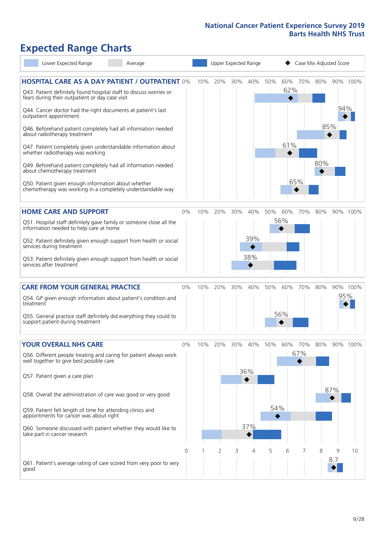### **Expected Range Charts**

| Lower Expected Range                                                                                                                                                                                                                                                                                                                                                                                                                                        | Average |          |     |     |     | Upper Expected Range   | Case Mix Adjusted Score |                   |            |            |          |          |
|-------------------------------------------------------------------------------------------------------------------------------------------------------------------------------------------------------------------------------------------------------------------------------------------------------------------------------------------------------------------------------------------------------------------------------------------------------------|---------|----------|-----|-----|-----|------------------------|-------------------------|-------------------|------------|------------|----------|----------|
| <b>HOSPITAL CARE AS A DAY PATIENT / OUTPATIENT 0%</b><br>Q43. Patient definitely found hospital staff to discuss worries or<br>fears during their outpatient or day case visit<br>Q44. Cancer doctor had the right documents at patient's last<br>outpatient appointment<br>Q46. Beforehand patient completely had all information needed<br>about radiotherapy treatment<br>Q47. Patient completely given understandable information about                 |         |          | 10% | 20% | 30% | 40%                    | 50%                     | 60%<br>62%<br>61% | 70%        | 80%<br>85% | 94%      | 90% 100% |
| whether radiotherapy was working<br>Q49. Beforehand patient completely had all information needed<br>about chemotherapy treatment<br>Q50. Patient given enough information about whether<br>chemotherapy was working in a completely understandable way                                                                                                                                                                                                     |         |          |     |     |     |                        |                         |                   | 65%        | 80%        |          |          |
| <b>HOME CARE AND SUPPORT</b><br>Q51. Hospital staff definitely gave family or someone close all the<br>information needed to help care at home<br>Q52. Patient definitely given enough support from health or social<br>services during treatment<br>Q53. Patient definitely given enough support from health or social<br>services after treatment                                                                                                         |         | 0%       | 10% | 20% | 30% | 40%<br>39%<br>38%      | 50%                     | 60%<br>56%        | 70%        | 80%        |          | 90% 100% |
| <b>CARE FROM YOUR GENERAL PRACTICE</b><br>Q54. GP given enough information about patient's condition and<br>treatment<br>Q55. General practice staff definitely did everything they could to<br>support patient during treatment                                                                                                                                                                                                                            |         | $0\%$    | 10% | 20% | 30% | 40%                    | 50%                     | 60%<br>56%        | 70%        | 80%        | 95%      | 90% 100% |
| <b>YOUR OVERALL NHS CARE</b><br>Q56. Different people treating and caring for patient always work<br>well together to give best possible care<br>Q57. Patient given a care plan<br>Q58. Overall the administration of care was good or very good<br>Q59. Patient felt length of time for attending clinics and<br>appointments for cancer was about right<br>Q60. Someone discussed with patient whether they would like to<br>take part in cancer research |         | $0\%$    | 10% | 20% | 30% | 40%<br>36%<br>37%<br>4 | 50%<br>54%<br>5         | 60%<br>6          | 70%<br>67% | 80%        | 87%<br>9 | 90% 100% |
| Q61. Patient's average rating of care scored from very poor to very<br>good                                                                                                                                                                                                                                                                                                                                                                                 |         | $\Omega$ |     | 2   | 3   |                        |                         |                   |            | 8          | 8.7      | 10       |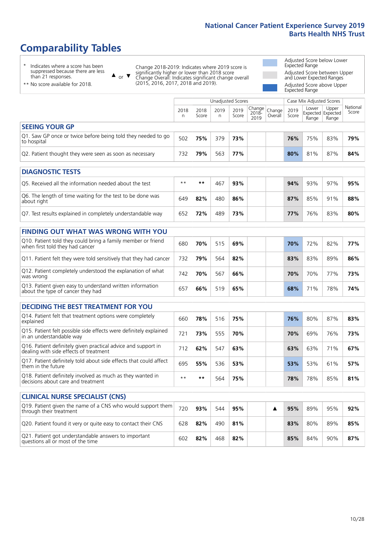### **Comparability Tables**

\* Indicates where a score has been suppressed because there are less than 21 responses.

\*\* No score available for 2018.

 $\triangle$  or  $\nabla$ 

Change 2018-2019: Indicates where 2019 score is significantly higher or lower than 2018 score Change Overall: Indicates significant change overall (2015, 2016, 2017, 2018 and 2019).

Adjusted Score below Lower Expected Range Adjusted Score between Upper and Lower Expected Ranges Adjusted Score above Upper Expected Range

|                                                                             |           |               |           | Unadjusted Scores | Case Mix Adjusted Scores                         |         |               |                |                                            |                   |
|-----------------------------------------------------------------------------|-----------|---------------|-----------|-------------------|--------------------------------------------------|---------|---------------|----------------|--------------------------------------------|-------------------|
|                                                                             | 2018<br>n | 2018<br>Score | 2019<br>n | 2019<br>Score     | $\sqrt{(\text{Change})}$ Change<br>2018-<br>2019 | Overall | 2019<br>Score | Lower<br>Range | Upper<br><b>Expected Expected</b><br>Range | National<br>Score |
| <b>SEEING YOUR GP</b>                                                       |           |               |           |                   |                                                  |         |               |                |                                            |                   |
| Q1. Saw GP once or twice before being told they needed to go<br>to hospital | 502       | 75%           | 379       | 73%               |                                                  |         | 76%           | 75%            | 83%                                        | 79%               |
| Q2. Patient thought they were seen as soon as necessary                     | 732       | 79%           | 563       | 77%               |                                                  |         | 80%           | 81%            | 87%                                        | 84%               |
| <b>DIAGNOSTIC TESTS</b>                                                     |           |               |           |                   |                                                  |         |               |                |                                            |                   |

| Q5. Received all the information needed about the test                    | $**$ | **  | $46^{-}$ | 93% |  | 94% | 93% | 97% | 95% |
|---------------------------------------------------------------------------|------|-----|----------|-----|--|-----|-----|-----|-----|
| Q6. The length of time waiting for the test to be done was<br>about right | 649  | 82% | 480      | 86% |  | 87% | 85% | 91% | 88% |
| Q7. Test results explained in completely understandable way               | 652  | 72% | 489      | 73% |  | 77% | 76% | 83% | 80% |

| <b>FINDING OUT WHAT WAS WRONG WITH YOU</b>                                                      |     |     |     |     |     |     |     |     |
|-------------------------------------------------------------------------------------------------|-----|-----|-----|-----|-----|-----|-----|-----|
| Q10. Patient told they could bring a family member or friend<br>when first told they had cancer | 680 | 70% | 515 | 69% | 70% | 72% | 82% | 77% |
| Q11. Patient felt they were told sensitively that they had cancer                               | 732 | 79% | 564 | 82% | 83% | 83% | 89% | 86% |
| Q12. Patient completely understood the explanation of what<br>was wrong                         | 742 | 70% | 567 | 66% | 70% | 70% | 77% | 73% |
| Q13. Patient given easy to understand written information<br>about the type of cancer they had  | 657 | 66% | 519 | 65% | 68% | 71% | 78% | 74% |

| <b>DECIDING THE BEST TREATMENT FOR YOU</b>                                                              |      |     |     |     |  |     |     |     |     |
|---------------------------------------------------------------------------------------------------------|------|-----|-----|-----|--|-----|-----|-----|-----|
| Q14. Patient felt that treatment options were completely<br>explained                                   | 660  | 78% | 516 | 75% |  | 76% | 80% | 87% | 83% |
| Q15. Patient felt possible side effects were definitely explained<br>in an understandable way           | 721  | 73% | 555 | 70% |  | 70% | 69% | 76% | 73% |
| Q16. Patient definitely given practical advice and support in<br>dealing with side effects of treatment | 712  | 62% | 547 | 63% |  | 63% | 63% | 71% | 67% |
| Q17. Patient definitely told about side effects that could affect<br>them in the future                 | 695  | 55% | 536 | 53% |  | 53% | 53% | 61% | 57% |
| Q18. Patient definitely involved as much as they wanted in<br>decisions about care and treatment        | $**$ | **  | 564 | 75% |  | 78% | 78% | 85% | 81% |

| <b>CLINICAL NURSE SPECIALIST (CNS)</b>                                                    |     |     |     |     |  |     |     |     |     |
|-------------------------------------------------------------------------------------------|-----|-----|-----|-----|--|-----|-----|-----|-----|
| Q19. Patient given the name of a CNS who would support them<br>through their treatment    | 720 | 93% | 544 | 95% |  | 95% | 89% | 95% | 92% |
| Q20. Patient found it very or quite easy to contact their CNS                             | 628 | 82% | 490 | 81% |  | 83% | 80% | 89% | 85% |
| Q21. Patient got understandable answers to important<br>questions all or most of the time | 602 | 82% | 468 | 82% |  | 85% | 84% | 90% | 87% |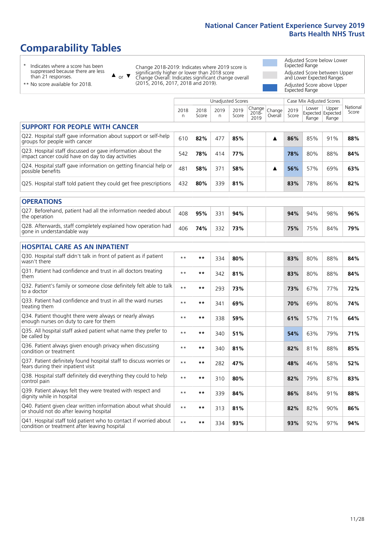### **Comparability Tables**

\* Indicates where a score has been suppressed because there are less than 21 responses.

\*\* No score available for 2018.

 $\triangle$  or  $\nabla$ 

Change 2018-2019: Indicates where 2019 score is significantly higher or lower than 2018 score Change Overall: Indicates significant change overall (2015, 2016, 2017, 2018 and 2019).

Adjusted Score below Lower Expected Range Adjusted Score between Upper and Lower Expected Ranges Adjusted Score above Upper Expected Range

|                                                                                                                   |              |               | Unadjusted Scores |               |                         |                   |               | Case Mix Adjusted Scores            |                |                   |
|-------------------------------------------------------------------------------------------------------------------|--------------|---------------|-------------------|---------------|-------------------------|-------------------|---------------|-------------------------------------|----------------|-------------------|
|                                                                                                                   | 2018<br>n    | 2018<br>Score | 2019<br>n.        | 2019<br>Score | Change<br>2018-<br>2019 | Change<br>Overall | 2019<br>Score | Lower<br>Expected Expected<br>Range | Upper<br>Range | National<br>Score |
| <b>SUPPORT FOR PEOPLE WITH CANCER</b>                                                                             |              |               |                   |               |                         |                   |               |                                     |                |                   |
| Q22. Hospital staff gave information about support or self-help<br>groups for people with cancer                  | 610          | 82%           | 477               | 85%           |                         | ▲                 | 86%           | 85%                                 | 91%            | 88%               |
| Q23. Hospital staff discussed or gave information about the<br>impact cancer could have on day to day activities  | 542          | 78%           | 414               | 77%           |                         |                   | 78%           | 80%                                 | 88%            | 84%               |
| Q24. Hospital staff gave information on getting financial help or<br>possible benefits                            | 481          | 58%           | 371               | 58%           |                         | ▲                 | 56%           | 57%                                 | 69%            | 63%               |
| Q25. Hospital staff told patient they could get free prescriptions                                                | 432          | 80%           | 339               | 81%           |                         |                   | 83%           | 78%                                 | 86%            | 82%               |
| <b>OPERATIONS</b>                                                                                                 |              |               |                   |               |                         |                   |               |                                     |                |                   |
| Q27. Beforehand, patient had all the information needed about<br>the operation                                    | 408          | 95%           | 331               | 94%           |                         |                   | 94%           | 94%                                 | 98%            | 96%               |
| Q28. Afterwards, staff completely explained how operation had<br>gone in understandable way                       | 406          | 74%           | 332               | 73%           |                         |                   | 75%           | 75%                                 | 84%            | 79%               |
| <b>HOSPITAL CARE AS AN INPATIENT</b>                                                                              |              |               |                   |               |                         |                   |               |                                     |                |                   |
| Q30. Hospital staff didn't talk in front of patient as if patient<br>wasn't there                                 | $* *$        | $***$         | 334               | 80%           |                         |                   | 83%           | 80%                                 | 88%            | 84%               |
| Q31. Patient had confidence and trust in all doctors treating<br>them                                             | $**$         | $***$         | 342               | 81%           |                         |                   | 83%           | 80%                                 | 88%            | 84%               |
| Q32. Patient's family or someone close definitely felt able to talk<br>to a doctor                                | $**$         | **            | 293               | 73%           |                         |                   | 73%           | 67%                                 | 77%            | 72%               |
| Q33. Patient had confidence and trust in all the ward nurses<br>treating them                                     | $**$         | $***$         | 341               | 69%           |                         |                   | 70%           | 69%                                 | 80%            | 74%               |
| Q34. Patient thought there were always or nearly always<br>enough nurses on duty to care for them                 | $**$         | $***$         | 338               | 59%           |                         |                   | 61%           | 57%                                 | 71%            | 64%               |
| Q35. All hospital staff asked patient what name they prefer to<br>be called by                                    | $\star\star$ | $***$         | 340               | 51%           |                         |                   | 54%           | 63%                                 | 79%            | 71%               |
| Q36. Patient always given enough privacy when discussing<br>condition or treatment                                | $**$         | $***$         | 340               | 81%           |                         |                   | 82%           | 81%                                 | 88%            | 85%               |
| Q37. Patient definitely found hospital staff to discuss worries or<br>fears during their inpatient visit          | $\star\star$ | $***$         | 282               | 47%           |                         |                   | 48%           | 46%                                 | 58%            | 52%               |
| Q38. Hospital staff definitely did everything they could to help<br>control pain                                  | $**$         | $***$         | 310               | 80%           |                         |                   | 82%           | 79%                                 | 87%            | 83%               |
| Q39. Patient always felt they were treated with respect and<br>dignity while in hospital                          | $\star\star$ | $***$         | 339               | 84%           |                         |                   | 86%           | 84%                                 | 91%            | 88%               |
| Q40. Patient given clear written information about what should<br>or should not do after leaving hospital         | $**$         | **            | 313               | 81%           |                         |                   | 82%           | 82%                                 | 90%            | 86%               |
| Q41. Hospital staff told patient who to contact if worried about<br>condition or treatment after leaving hospital | $\star\star$ | $***$         | 334               | 93%           |                         |                   | 93%           | 92%                                 | 97%            | 94%               |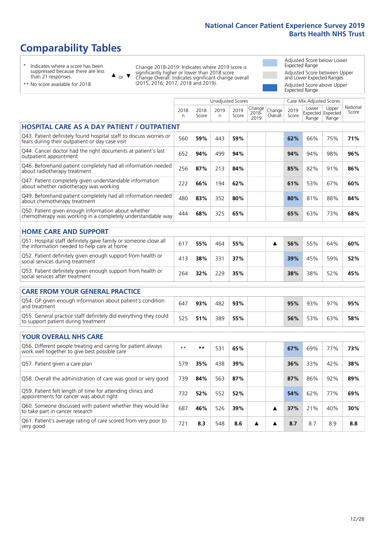### **Comparability Tables**

\* Indicates where a score has been suppressed because there are less than 21 responses.

\*\* No score available for 2018.

or  $\blacktriangledown$  $\blacktriangle$ 

Change 2018-2019: Indicates where 2019 score is significantly higher or lower than 2018 score Change Overall: Indicates significant change overall (2015, 2016, 2017, 2018 and 2019).

Adjusted Score below Lower Expected Range Adjusted Score between Upper and Lower Expected Ranges Adjusted Score above Upper Expected Range

> National Score

|                                                                                                                       |            |               |           | <b>Unadjusted Scores</b> |                            |                   |               | Case Mix Adjusted Scores            |                |                  |
|-----------------------------------------------------------------------------------------------------------------------|------------|---------------|-----------|--------------------------|----------------------------|-------------------|---------------|-------------------------------------|----------------|------------------|
|                                                                                                                       | 2018<br>n. | 2018<br>Score | 2019<br>n | 2019<br>Score            | Change<br>$2018 -$<br>2019 | Change<br>Overall | 2019<br>Score | Lower<br>Expected Expected<br>Range | Upper<br>Range | Nation.<br>Score |
| <b>HOSPITAL CARE AS A DAY PATIENT / OUTPATIENT</b>                                                                    |            |               |           |                          |                            |                   |               |                                     |                |                  |
| Q43. Patient definitely found hospital staff to discuss worries or<br>fears during their outpatient or day case visit | 560        | 59%           | 443       | 59%                      |                            |                   | 62%           | 66%                                 | 75%            | 71%              |
| Q44. Cancer doctor had the right documents at patient's last<br>outpatient appointment                                | 652        | 94%           | 499       | 94%                      |                            |                   | 94%           | 94%                                 | 98%            | 96%              |
| Q46. Beforehand patient completely had all information needed<br>about radiotherapy treatment                         | 256        | 87%           | 213       | 84%                      |                            |                   | 85%           | 82%                                 | 91%            | 86%              |
| Q47. Patient completely given understandable information<br>about whether radiotherapy was working                    | 222        | 66%           | 194       | 62%                      |                            |                   | 61%           | 53%                                 | 67%            | 60%              |
| Q49. Beforehand patient completely had all information needed<br>about chemotherapy treatment                         | 480        | 83%           | 352       | 80%                      |                            |                   | 80%           | 81%                                 | 88%            | 84%              |
| Q50. Patient given enough information about whether<br>chemotherapy was working in a completely understandable way    | 444        | 68%           | 325       | 65%                      |                            |                   | 65%           | 63%                                 | 73%            | 68%              |
| <b>HOME CARE AND SUPPORT</b>                                                                                          |            |               |           |                          |                            |                   |               |                                     |                |                  |
| Q51. Hospital staff definitely gave family or someone close all<br>the information needed to help care at home        | 617        | 55%           | 464       | 55%                      |                            | ▲                 | 56%           | 55%                                 | 64%            | 60%              |
| Q52. Patient definitely given enough support from health or<br>social services during treatment                       | 413        | 38%           | 331       | 37%                      |                            |                   | 39%           | 45%                                 | 59%            | 52%              |
| Q53. Patient definitely given enough support from health or<br>social services after treatment                        | 264        | 32%           | 229       | 35%                      |                            |                   | 38%           | 38%                                 | 52%            | 45%              |
| <b>CARE FROM YOUR GENERAL PRACTICE</b>                                                                                |            |               |           |                          |                            |                   |               |                                     |                |                  |
| Q54. GP given enough information about patient's condition<br>and treatment                                           | 647        | 93%           | 482       | 93%                      |                            |                   | 95%           | 93%                                 | 97%            | 95%              |
| Q55. General practice staff definitely did everything they could<br>to support patient during treatment               | 525        | 51%           | 389       | 55%                      |                            |                   | 56%           | 53%                                 | 63%            | 58%              |
| <b>YOUR OVERALL NHS CARE</b>                                                                                          |            |               |           |                          |                            |                   |               |                                     |                |                  |
| Q56. Different people treating and caring for patient always<br>work well together to give best possible care         | $***$      | **            | 531       | 65%                      |                            |                   | 67%           | 69%                                 | 77%            | 73%              |
| Q57. Patient given a care plan                                                                                        | 579        | 35%           | 438       | 39%                      |                            |                   | 36%           | 33%                                 | 42%            | 38%              |
| Q58. Overall the administration of care was good or very good                                                         | 739        | 84%           | 563       | 87%                      |                            |                   | 87%           | 86%                                 | 92%            | 89%              |
| Q59. Patient felt length of time for attending clinics and<br>appointments for cancer was about right                 | 732        | 52%           | 552       | 52%                      |                            |                   | 54%           | 62%                                 | 77%            | 69%              |
| Q60. Someone discussed with patient whether they would like<br>to take part in cancer research                        | 687        | 46%           | 526       | 39%                      |                            | ▲                 | 37%           | 21%                                 | 40%            | 30%              |

Q61. Patient's average rating of care scored from very poor to very good <sup>721</sup> **8.3** <sup>548</sup> **8.6 8.7** 8.7 8.9 **8.8**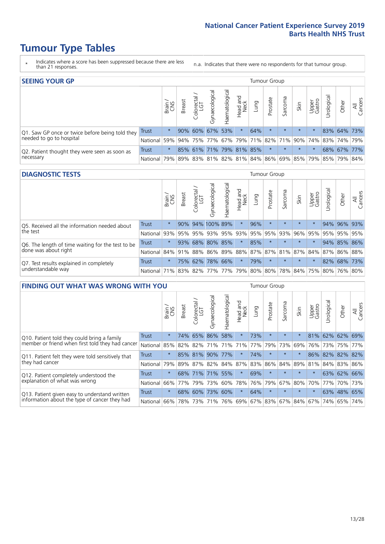### **Tumour Type Tables**

- \* Indicates where a score has been suppressed because there are less than 21 responses.
- n.a. Indicates that there were no respondents for that tumour group.

| <b>SEEING YOUR GP</b>                           |              |         |               |            |                   |                |                         |      | Tumour Group |         |         |                 |                       |                                                     |                |
|-------------------------------------------------|--------------|---------|---------------|------------|-------------------|----------------|-------------------------|------|--------------|---------|---------|-----------------|-----------------------|-----------------------------------------------------|----------------|
|                                                 |              | Brain   | <b>Breast</b> | Colorectal | ত<br>Gynaecologic | Haematological | Head and<br>Neck        | Lung | Prostate     | Sarcoma | Skin    | Upper<br>Gastro | $\sigma$<br>Jrologica | Other                                               | All<br>Cancers |
| Q1. Saw GP once or twice before being told they | Trust        | $\star$ |               |            | 90% 60% 67% 53%   |                | $\star$                 | 64%  | $\star$      | $\star$ | $\star$ | $\star$         |                       | 83% 64% 73%                                         |                |
| needed to go to hospital                        | National     | 59%     |               |            |                   |                |                         |      |              |         |         |                 |                       | 94% 75% 77% 67% 79% 71% 82% 71% 90% 74% 83% 74% 79% |                |
| Q2. Patient thought they were seen as soon as   | <b>Trust</b> | $\star$ |               |            |                   |                | 85% 61% 71% 79% 81% 85% |      | $\star$      | $\star$ | $\star$ | $\star$         |                       | 68% 67% 77%                                         |                |
| necessary                                       | National     | 79%     |               |            |                   |                |                         |      |              |         |         |                 |                       | 89% 83% 81% 82% 81% 84% 86% 69% 85% 79% 85% 79%     | 84%            |

#### **DIAGNOSTIC TESTS** Tumour Group

|                                                   |                                                                  | Brain<br>CNS | <b>Breast</b> | Colorectal<br>LGT | ᠊ᢛ<br>Gynaecologic | Haematological | Head and<br>Neck    | Lung | Prostate | Sarcoma | Skin    | Upper<br>Gastro | rological                                               | Other | All<br>Cancers |
|---------------------------------------------------|------------------------------------------------------------------|--------------|---------------|-------------------|--------------------|----------------|---------------------|------|----------|---------|---------|-----------------|---------------------------------------------------------|-------|----------------|
| Q5. Received all the information needed about     | <b>Trust</b>                                                     | $\star$      |               |                   | 90% 94% 100% 89%   |                | $\star$             | 96%  | $\star$  |         | $\star$ | $\star$         |                                                         |       | 94% 96% 93%    |
| the test                                          | National                                                         | 93%          |               | 95% 95%           |                    |                | 93% 95% 93% 95% 95% |      |          | 93%     | 96%     | 95%             | 95%                                                     |       | 95% 95%        |
| Q6. The length of time waiting for the test to be | Trust                                                            | $\star$      | 93%           | 68%               |                    | 80% 85%        | $\star$             | 85%  | $\star$  | $\star$ | $\star$ | $\star$         |                                                         |       | 94% 85% 86%    |
| done was about right                              | National                                                         |              |               |                   |                    |                |                     |      |          |         |         |                 | 84% 91% 88% 86% 89% 88% 87% 87% 81% 87% 84% 87% 86% 88% |       |                |
| Q7. Test results explained in completely          | Trust                                                            | $\star$      |               | 75% 62%           |                    | 78% 66%        | $\star$             | 79%  | $\star$  | $\star$ | $\star$ | $\star$         |                                                         |       | 82% 68% 73%    |
| understandable way                                | National 71% 83% 82% 77% 77% 79% 80% 80% 78% 84% 75% 80% 76% 80% |              |               |                   |                    |                |                     |      |          |         |         |                 |                                                         |       |                |

| <b>FINDING OUT WHAT WAS WRONG WITH YOU</b>        |              |         |               |                        |                |                    |                        |         | <b>Tumour Group</b> |         |         |                 |            |         |                |
|---------------------------------------------------|--------------|---------|---------------|------------------------|----------------|--------------------|------------------------|---------|---------------------|---------|---------|-----------------|------------|---------|----------------|
|                                                   |              | Brain   | <b>Breast</b> | olorectal.<br>LGT<br>Û | Gynaecological | aematological<br>Ĩ | ad and<br>Neck<br>Head | Lung    | Prostate            | Sarcoma | Skin    | Upper<br>Gastro | Irological | Other   | All<br>Cancers |
| Q10. Patient told they could bring a family       | <b>Trust</b> | $\star$ | 74%           | 65%                    | 86%            | 58%                | $\star$                | 73%     | $\star$             | $\star$ | $\star$ | 81%             | 62%        | 62%     | 69%            |
| member or friend when first told they had cancer  | National     | 85%     | 82%           | 82%                    | 71%            | 71%                | 71%                    | 77%     | 79%                 | 73%     | 69%     | 76%             | 73%        | 75%     | 77%            |
| Q11. Patient felt they were told sensitively that | Trust        | $\star$ |               | 85% 81%                | 90%            | 77%                | $\star$                | 74%     | $\star$             | $\star$ | 大       | 86%             | 82%        | 82%     | 82%            |
| they had cancer                                   | National     | 79%     |               |                        | 89% 87% 82%    | 84% 87%            |                        | 83% 86% |                     | 84%     |         | 89% 81%         |            | 84% 83% | 86%            |
| Q12. Patient completely understood the            | Trust        | $\star$ | 68%           | 71%                    | 71%            | 55%                | $\star$                | 69%     | $\star$             | $\star$ | $\star$ | $\star$         | 63%        | 62% 66% |                |
| explanation of what was wrong                     | National     | 66%     | 77%           | 79%                    | 73%            | 60%                | 78%                    | 76%     | 79%                 | 67%     | 80%     | 70%             | 77%        |         | 70% 73%        |
| Q13. Patient given easy to understand written     | Trust        | $\star$ | 68%           | 60%                    | 73%            | 60%                | $\star$                | 64%     | $\star$             | $\star$ | $\star$ | $\star$         |            | 63% 48% | 65%            |
| information about the type of cancer they had     | National     | 66%     | 78%           | 73%                    | 71%            | 76%                | 69%                    | 67% 83% |                     |         | 67% 84% | 67%             | 74%        | 65%     | 74%            |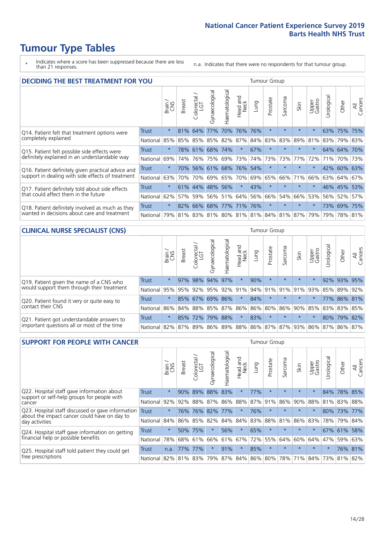### **Tumour Type Tables**

\* Indicates where a score has been suppressed because there are less than 21 responses.

n.a. Indicates that there were no respondents for that tumour group.

| <b>DECIDING THE BEST TREATMENT FOR YOU</b>         |              |         |               |                         |                |                |                        |         | <b>Tumour Group</b> |                                     |         |                 |            |             |                |
|----------------------------------------------------|--------------|---------|---------------|-------------------------|----------------|----------------|------------------------|---------|---------------------|-------------------------------------|---------|-----------------|------------|-------------|----------------|
|                                                    |              | Brain   | <b>Breast</b> | olorectal<br>LGT<br>Ũ   | Gynaecological | Haematological | ad and<br>Neck<br>Head | Lung    | Prostate            | Sarcoma                             | Skin    | Upper<br>Gastro | Jrological | Other       | All<br>Cancers |
| Q14. Patient felt that treatment options were      | <b>Trust</b> | $\star$ | 81%           | 64%                     | 77%            | 70%            | 76%                    | 76%     | $\star$             | $\star$                             |         | $\star$         |            | 63% 75%     | 75%            |
| completely explained                               | National     | 85%     | 85%           | 85%                     | 85% 82%        |                | 87%                    | 84% 83% |                     | 83%                                 | 89%     | 81%             |            | 83% 79% 83% |                |
| Q15. Patient felt possible side effects were       | Trust        | $\star$ |               | 78% 61%                 |                | 68% 74%        | $\star$                | 67%     | $\star$             |                                     | $\star$ | $\star$         |            | 64% 64% 70% |                |
| definitely explained in an understandable way      | National     | 69%     | 74%           | 76%                     | 75%            | 69%            | 73%                    | 74%     | 73%                 | 73%                                 | 77%     | 72%             | 71%        | 70%         | 73%            |
| Q16. Patient definitely given practical advice and | Trust        | $\star$ | 70%           |                         |                |                | 56% 61% 68% 76%        | 54%     | $\star$             | $\star$                             | $\star$ | $\star$         |            | 42% 60% 63% |                |
| support in dealing with side effects of treatment  | National     | 63%     | 70%           | 70%                     | 69%            | 65%            | 70%                    | 69%     | 65%                 | 66%                                 | 71%     | 66%             |            | 63% 64%     | 67%            |
| Q17. Patient definitely told about side effects    | Trust        | $\star$ | 61%           | 44%                     | 48% 56%        |                | $\star$                | 43%     | $\star$             | $\star$                             | $\star$ | $\star$         |            | 46% 45%     | 53%            |
| that could affect them in the future               | National     | 62%     | 57%           | 59%                     |                | 56% 51%        |                        | 64% 56% | 66%                 | 54%                                 | 66%     | 53%             |            | 56% 52%     | 57%            |
| Q18. Patient definitely involved as much as they   | Trust        | $\star$ |               | 82% 66% 68% 77% 71% 76% |                |                |                        |         | $\star$             | $\star$                             | $\star$ | $\star$         |            | 73% 69% 75% |                |
| wanted in decisions about care and treatment       | National     | 79%     |               |                         |                |                |                        |         |                     | 81% 83% 81% 80% 81% 81% 84% 81% 87% |         | 79%             |            | 79% 78% 81% |                |

#### **CLINICAL NURSE SPECIALIST (CNS)** Tumour Group

|                                             |                                                          | Brain<br>CNS | <b>Breast</b>   | olorectal<br>LGT<br>Ü | $\sigma$<br>aecologica<br>Ğ | ক<br>Haematologic | Head and<br>Neck | Lung                        | Prostate | Sarcoma | Skin    | Upper<br>Gastro             | $\sigma$<br>rologica | Other       | All<br>Cancers |
|---------------------------------------------|----------------------------------------------------------|--------------|-----------------|-----------------------|-----------------------------|-------------------|------------------|-----------------------------|----------|---------|---------|-----------------------------|----------------------|-------------|----------------|
| Q19. Patient given the name of a CNS who    | <b>Trust</b>                                             | $\star$      |                 | 97% 98%               | 94%                         | 97%               | $\star$          | 90%                         | $\star$  | $\star$ | $\star$ |                             |                      | 92% 93% 95% |                |
| would support them through their treatment  | National                                                 | 95%          | 95%             | 92%                   | 95%                         |                   |                  | 92% 91% 94% 91% 91% 91% 92% |          |         |         |                             | 85%                  | 89%         | 92%            |
| Q20. Patient found it very or quite easy to | Trust                                                    | $\star$      |                 | 85% 67%               | 69%                         | 86%               | $\star$          | 84%                         | $\star$  | $\star$ | $\star$ | $\star$                     |                      | 77% 86% 81% |                |
| contact their CNS                           | National                                                 |              | 86% 84% 88% 85% |                       |                             |                   |                  |                             |          |         |         | 87% 86% 86% 80% 86% 90% 85% |                      | 83% 83%     | 85%            |
| Q21. Patient got understandable answers to  | Trust                                                    | $\star$      | 85%             | 72%                   | 79%                         | 88%               | $\star$          | 83%                         | $\star$  | $\star$ | $\star$ | $\star$                     |                      | 80% 79%     | 82%            |
| important questions all or most of the time | National 82% 87% 89% 86% 89% 88% 86% 87% 87% 93% 86% 87% |              |                 |                       |                             |                   |                  |                             |          |         |         |                             |                      | 86%         | 87%            |

| <b>SUPPORT FOR PEOPLE WITH CANCER</b>                                                             |              |         |               |                             |                |                |                        |      | <b>Tumour Group</b> |         |         |                 |            |         |                |
|---------------------------------------------------------------------------------------------------|--------------|---------|---------------|-----------------------------|----------------|----------------|------------------------|------|---------------------|---------|---------|-----------------|------------|---------|----------------|
|                                                                                                   |              | Brain   | <b>Breast</b> | ╮<br>olorectal.<br>LGT<br>Ũ | Gynaecological | Haematological | ad and<br>Neck<br>Head | Lung | Prostate            | Sarcoma | Skin    | Upper<br>Gastro | Jrological | Other   | All<br>Cancers |
| Q22. Hospital staff gave information about<br>support or self-help groups for people with         | <b>Trust</b> | $\star$ | 90%           | 89%                         | 88%            | 83%            | $\ast$                 | 77%  | $\star$             | $\star$ | $\star$ | $\star$         | 84%        |         | 78% 85%        |
| cancer                                                                                            | National     | 92%     | 92%           | 88%                         | 87%            | 86%            | 88%                    | 87%  | 91%                 | 86%     | 90%     | 88%             | 81%        | 83%     | 88%            |
| Q23. Hospital staff discussed or gave information<br>about the impact cancer could have on day to | <b>Trust</b> | $\star$ | 76%           | 76%                         | 82%            | 77%            | $\star$                | 76%  | $\star$             | $\star$ | $\star$ | $\star$         |            | 80% 73% | 77%            |
| day activities                                                                                    | National     | 84%     | 86%           | 85%                         | 82%            | 84%            | 84%                    | 83%  | 88%                 | 81%     | 86%     | 83%             | 78%        | 79%     | 84%            |
| Q24. Hospital staff gave information on getting                                                   | Trust        | $\star$ |               | 50% 75%                     | $\star$        | 56%            | $^\star$               | 65%  | $\star$             | $\star$ | $\star$ | $\star$         |            | 67% 61% | 58%            |
| financial help or possible benefits                                                               | National     | 78%     |               | 68% 61%                     | 66%            | 61%            | 67%                    | 72%  | 55%                 | 64%     | 60%     | 64%             | 47%        | 59%     | 63%            |
| Q25. Hospital staff told patient they could get                                                   | Trust        | n.a.    | 77%           | 177%                        |                | 91%            | $\star$                | 85%  | $\star$             | $\star$ | $\star$ | $\star$         | $\star$    |         | 76% 81%        |
| free prescriptions                                                                                | National I   | 82%     |               | 81% 83%                     | 79%            |                | 87% 84% 86% 80%        |      |                     | 78%     | 71%     | $ 84\% $        | 73%        | 81%     | 82%            |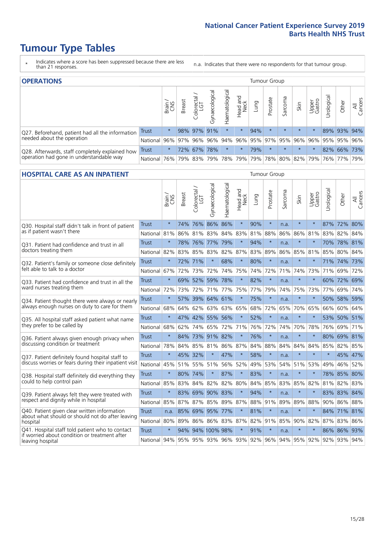### **Tumour Type Tables**

- \* Indicates where a score has been suppressed because there are less than 21 responses.
- n.a. Indicates that there were no respondents for that tumour group.

| <b>OPERATIONS</b>                                |          |              |               |                   |                |                |                  |             | Tumour Group            |         |         |                 |            |             |                |
|--------------------------------------------------|----------|--------------|---------------|-------------------|----------------|----------------|------------------|-------------|-------------------------|---------|---------|-----------------|------------|-------------|----------------|
|                                                  |          | Brain<br>CNS | <b>Breast</b> | Colorectal<br>LGT | Gynaecological | Haematological | Head and<br>Neck | <b>Dung</b> | Prostate                | Sarcoma | Skin    | Upper<br>Gastro | Irological | Other       | All<br>Cancers |
| Q27. Beforehand, patient had all the information | Trust    | $\star$      |               | 98% 97%           | 91%            | $\star$        | $\star$          | 94%         | $\star$                 | $\star$ | $\star$ | $\star$         |            | 89% 93%     | 94%            |
| needed about the operation                       | National | 96%          |               | 97% 96% 96%       |                |                |                  |             | 94% 96% 95% 97% 95% 96% |         |         | 96%             |            | 95% 95% 96% |                |
| Q28. Afterwards, staff completely explained how  | Trust    | $\star$      |               | 72% 67%           | 78%            | $\star$        | $\star$          | 79%         | $\star$                 | $\star$ | $\star$ | $\star$         |            | 82% 66% 73% |                |
| operation had gone in understandable way         | National | 76%          |               | 79% 83%           | 79%            |                | 78% 79%          |             | 79% 78% 80% 82% 79%     |         |         |                 |            | 76% 77%     | 79%            |

#### **HOSPITAL CARE AS AN INPATIENT** Tumour Group

|                                                                                                  |              | Brain   | <b>Breast</b> | Colorectal /<br>LGT | Gynaecological | Haematological              | Head and<br>Neck | Lung | Prostate | Sarcoma | Skin        | Upper<br>Gastro | Urological | Other       | Cancers<br>$\overline{\overline{z}}$ |
|--------------------------------------------------------------------------------------------------|--------------|---------|---------------|---------------------|----------------|-----------------------------|------------------|------|----------|---------|-------------|-----------------|------------|-------------|--------------------------------------|
| Q30. Hospital staff didn't talk in front of patient                                              | Trust        | $\star$ | 74%           | 76%                 | 86%            | 86%                         | $\star$          | 90%  | $\star$  | n.a.    | $\star$     | $\star$         |            | 87% 72% 80% |                                      |
| as if patient wasn't there                                                                       | National     | 81%     | 86%           | 81%                 | 83%            | 84% 83%                     |                  | 81%  | 88%      | 86%     |             | 86% 81%         |            | 83% 82%     | 84%                                  |
| 031. Patient had confidence and trust in all                                                     | <b>Trust</b> | $\star$ | 78%           | 76%                 | 77%            | 79%                         | $\star$          | 94%  | $\star$  | n.a.    | $\star$     |                 |            | 70% 78%     | 81%                                  |
| doctors treating them                                                                            | National     | 82%     | 83%           | 85%                 | 83%            | 82%                         | 87%              | 83%  | 89%      | 86%     | 85%         | 81%             | 85%        | 80%         | 84%                                  |
| Q32. Patient's family or someone close definitely                                                | <b>Trust</b> | $\star$ | 72% 71%       |                     | $\star$        | 68%                         | $\star$          | 80%  | $\star$  | n.a.    |             |                 |            | 71% 74% 73% |                                      |
| felt able to talk to a doctor                                                                    | National     | 67%     | 72%           | 73%                 | 72%            | 74%                         | 75%              | 74%  | 72%      | 71%     | 74%         | 73%             | 71%        | 69%         | 72%                                  |
| Q33. Patient had confidence and trust in all the                                                 | <b>Trust</b> | $\star$ | 69%           | 52%                 | 59%            | 78%                         | $\star$          | 82%  | $\star$  | n.a.    | $\ast$      | $\star$         |            | 60% 72%     | 69%                                  |
| ward nurses treating them                                                                        | National     | 72%     | 73%           | 72%                 |                | 71% 77%                     | 75%              | 77%  | 79%      | 74%     | 75%         | 73%             | 77%        | 69%         | 74%                                  |
| Q34. Patient thought there were always or nearly                                                 | <b>Trust</b> | $\star$ | 57%           | 39%                 | 64%            | 61%                         | $\star$          | 75%  | $\star$  | n.a.    | $\star$     | $\star$         | 50%        | 58%         | 59%                                  |
| always enough nurses on duty to care for them                                                    | National     | 68%     | 64%           | 62%                 | 63%            | 63%                         | 65%              | 68%  | 72%      | 65%     | 70%         | 65%             | 66%        | 60% 64%     |                                      |
| Q35. All hospital staff asked patient what name                                                  | Trust        | $\star$ | 47%           |                     | 42% 55% 56%    |                             | $\star$          | 52%  | $\star$  | n.a.    | $\ast$      | $\star$         |            | 53% 50% 51% |                                      |
| they prefer to be called by                                                                      | National     | 68%     | 62%           | 74%                 | 65%            | 72%                         | 71%              | 76%  | 72%      | 74%     | 70%         | 78%             | 76%        | 69% 71%     |                                      |
| Q36. Patient always given enough privacy when                                                    | <b>Trust</b> | $\star$ | 84%           |                     | 73% 91% 82%    |                             | $\star$          | 76%  | $\star$  | n.a.    | $\star$     |                 |            | 80% 69% 81% |                                      |
| discussing condition or treatment                                                                | National     | 78%     | 84%           | 85%                 | 81%            | 86% 87%                     |                  | 84%  | 88%      | 84%     | 84%         | 84%             | 85%        | 82% 85%     |                                      |
| Q37. Patient definitely found hospital staff to                                                  | <b>Trust</b> | $\star$ | 45%           | 32%                 | $\star$        | 47%                         | $\star$          | 58%  | $\star$  | n.a.    | $\star$     | $\star$         | $\star$    | 45% 47%     |                                      |
| discuss worries or fears during their inpatient visit                                            | National     | 45%     |               | 51% 55% 51%         |                | 56%                         | 52%              | 49%  | 53%      | 54%     |             | 51% 53%         | 49%        | 46% 52%     |                                      |
| Q38. Hospital staff definitely did everything they                                               | <b>Trust</b> | $\star$ | 80% 74%       |                     | $\star$        | 87%                         | $\star$          | 83%  | $\star$  | n.a.    | $\star$     | $\star$         |            | 78% 85% 80% |                                      |
| could to help control pain                                                                       | National     | 85%     | 83%           | 84%                 | 82%            | 82% 80%                     |                  | 84%  | 85%      | 83%     | 85%         | 82%             | 81%        | 82% 83%     |                                      |
| Q39. Patient always felt they were treated with                                                  | Trust        | $\star$ | 83%           |                     | 69% 90% 83%    |                             | $\star$          | 94%  | $\star$  | n.a.    | $\star$     |                 |            | 83% 83% 84% |                                      |
| respect and dignity while in hospital                                                            | National     | 85%     | 87%           | 87%                 |                | 85% 89%                     | 87%              | 88%  | 91%      | 89%     | 89%         | 88%             | 90%        | 86% 88%     |                                      |
| Q40. Patient given clear written information<br>about what should or should not do after leaving | <b>Trust</b> | n.a.    | 85%           | 69%                 | 95%            | 77%                         | $\star$          | 81%  | $\star$  | n.a.    | $\ast$      | $\star$         |            | 84% 71% 81% |                                      |
| hospital                                                                                         | National     | 80%     | 89%           | 86%                 |                | 86% 83%                     | 87%              | 82%  | 91%      | 85%     |             | 90% 82%         | 87%        | 83% 86%     |                                      |
| Q41. Hospital staff told patient who to contact<br>if worried about condition or treatment after | <b>Trust</b> | $\star$ | 94%           |                     | 94% 100% 98%   |                             | $\star$          | 91%  | $\star$  | n.a.    | $\ast$      | $\star$         |            | 86% 86%     | 93%                                  |
| leaving hospital                                                                                 | National 94% |         |               |                     |                | 95% 95% 93% 96% 93% 92% 96% |                  |      |          |         | 94% 95% 92% |                 |            | 92% 93% 94% |                                      |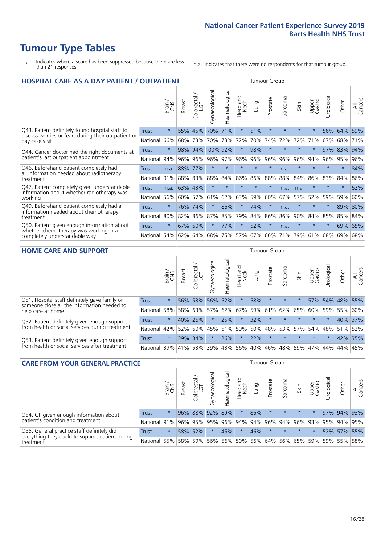### **Tumour Type Tables**

- \* Indicates where a score has been suppressed because there are less than 21 responses.
- n.a. Indicates that there were no respondents for that tumour group.

| <b>HOSPITAL CARE AS A DAY PATIENT / OUTPATIENT</b>                                                                    |              |         |               |                 |                |                |                        |         |          | <b>Tumour Group</b> |         |                 |            |         |                |  |  |  |  |  |  |  |
|-----------------------------------------------------------------------------------------------------------------------|--------------|---------|---------------|-----------------|----------------|----------------|------------------------|---------|----------|---------------------|---------|-----------------|------------|---------|----------------|--|--|--|--|--|--|--|
|                                                                                                                       |              | Brain   | <b>Breast</b> | ー<br>Colorectal | Gynaecological | Haematological | ad and<br>Neck<br>Head | Lung    | Prostate | arcoma<br>ιñ        | Skin    | Upper<br>Gastro | Urological | Other   | All<br>Cancers |  |  |  |  |  |  |  |
| Q43. Patient definitely found hospital staff to                                                                       | <b>Trust</b> | $\star$ | 55%           | 45%             | 70%            | 71%            | $\star$                | 51%     | $\star$  | $\star$             | $\star$ | $\star$         | 56%        | 64%     | 59%            |  |  |  |  |  |  |  |
| discuss worries or fears during their outpatient or<br>day case visit                                                 | National     | 66%     | 68%           | 73%             | 70%            | 73%            | 72%                    | 70%     | 74%      | 72%                 | 72%     | 71%             | 67%        | 68%     | 71%            |  |  |  |  |  |  |  |
| Q44. Cancer doctor had the right documents at<br>patient's last outpatient appointment                                | Trust        | $\star$ | 98%           |                 | 94% 100% 92%   |                | $\star$                | 98%     | $\star$  | $\star$             |         |                 | 97%        | 83%     | 94%            |  |  |  |  |  |  |  |
|                                                                                                                       | National     | 94%     | 96%           | 96%             | 96%            | 97%            | 96%                    | 96%     | 96%      | 96%                 | 96%     | 94%             | 96%        | 95%     | 96%            |  |  |  |  |  |  |  |
| Q46. Beforehand patient completely had<br>all information needed about radiotherapy<br>treatment                      | Trust        | n.a.    | 88%           | 77%             | $\star$        | $\star$        | $\star$                | $\star$ | $\star$  | n.a.                | $\star$ | $\star$         | $\star$    | $\ast$  | 84%            |  |  |  |  |  |  |  |
|                                                                                                                       | National     | 91%     | 88%           | 83%             | 88%            | 84%            | 86%                    | 86%     | 88%      | 88%                 | 84%     | 86%             | 83%        | 84%     | 86%            |  |  |  |  |  |  |  |
| Q47. Patient completely given understandable                                                                          | Trust        | n.a.    | 63%           | 43%             | $\star$        |                | $\star$                | $\star$ | $\star$  | n.a.                | n.a.    | $\star$         | $\star$    | $\ast$  | 62%            |  |  |  |  |  |  |  |
| information about whether radiotherapy was<br>working                                                                 | National     | 56%     | 60%           | 57%             | 61%            | 62%            | 63%                    | 59%     | 60%      | 67%                 | 57%     | 52%             | 59%        | 59%     | 60%            |  |  |  |  |  |  |  |
| Q49. Beforehand patient completely had all                                                                            | Trust        | $\star$ | 76%           | 74%             | $\star$        | 86%            | $\star$                | 74%     | $\star$  | n.a.                |         |                 | $\star$    | 89% 80% |                |  |  |  |  |  |  |  |
| information needed about chemotherapy<br>treatment                                                                    | National     | 80%     | 82%           | 86%             | 87%            | 85%            | 79%                    | 84%     | 86%      | 86%                 | 90%     | 84%             | 85%        | 85%     | 84%            |  |  |  |  |  |  |  |
| Q50. Patient given enough information about<br>whether chemotherapy was working in a<br>completely understandable way | Trust        | $\star$ | 67%           | 60%             |                | 77%            | $\star$                | 52%     | $\star$  | n.a.                | $\star$ | $\star$         | $\star$    | 69%     | 65%            |  |  |  |  |  |  |  |
|                                                                                                                       | National     | 54%     | 62%           | 64%             | 68%            | 75%            |                        | 57% 67% | 66%      | 71%                 | 79%     | 61%             | 68%        | 69%     | 68%            |  |  |  |  |  |  |  |

#### **HOME CARE AND SUPPORT** Tumour Group

|                                                                                                                   |              | Brain   | <b>Breast</b> | Colorectal<br>LGT | Gynaecological | Haematological | Head and<br>Neck | Lung | Prostate | Sarcoma | Skin    | Upper<br>Gastro | Urological | Other   | All<br>Cancers |
|-------------------------------------------------------------------------------------------------------------------|--------------|---------|---------------|-------------------|----------------|----------------|------------------|------|----------|---------|---------|-----------------|------------|---------|----------------|
| Q51. Hospital staff definitely gave family or<br>someone close all the information needed to<br>help care at home | <b>Trust</b> | $\star$ |               | 56% 53%           |                | 56% 52%        | $\star$          | 58%  | $\star$  | $\star$ |         | 57%             |            | 54% 48% | 55%            |
|                                                                                                                   | National     | 58%     |               | 58% 63%           | 57%            |                | 62% 67%          |      | 59% 61%  |         | 62% 65% |                 | 60% 59%    | 55%     | 60%            |
| Q52. Patient definitely given enough support<br>from health or social services during treatment                   | Trust        | $\star$ | 40% 26%       |                   | $\star$        | 25%            | $\star$          | 32%  | $\star$  | $\star$ | $\star$ | $\star$         | $\star$    | 40% 37% |                |
|                                                                                                                   | National     | 42%     | 52%           | 60%               | 45%            | $ 51\% $       | 59%              | 50%  | 48%      |         | 53% 57% |                 | 54% 48%    | 51%     | 52%            |
| Q53. Patient definitely given enough support<br>from health or social services after treatment                    | Trust        | $\star$ | 39%           | 34%               | $\star$        | 26%            | $\star$          | 22%  | $\star$  | $\star$ | $\star$ | $\star$         | $\star$    | 42%     | 35%            |
|                                                                                                                   | National     | 39%     | 41% 53%       |                   | 39%            | 43%            | 56%              | 40%  | 46%      |         | 48% 59% | 47%             | 44%        | 44%     | 45%            |

| <b>CARE FROM YOUR GENERAL PRACTICE</b>                                                                     |              |               |               |                   |                 | Tumour Group   |                                         |      |          |         |             |                 |           |             |                |
|------------------------------------------------------------------------------------------------------------|--------------|---------------|---------------|-------------------|-----------------|----------------|-----------------------------------------|------|----------|---------|-------------|-----------------|-----------|-------------|----------------|
|                                                                                                            |              | Brain.<br>CNS | <b>Breast</b> | Colorectal<br>LGT | Gynaecological  | Haematological | Head and<br>Neck                        | Lung | Prostate | Sarcoma | Skin        | Upper<br>Gastro | Urologica | Other       | All<br>Cancers |
| Q54. GP given enough information about<br>patient's condition and treatment                                | <b>Trust</b> | $\star$       |               |                   | 96% 88% 92% 89% |                | $\star$                                 | 86%  | $\star$  | $\star$ | $\star$     | $\star$         |           | 97% 94% 93% |                |
|                                                                                                            | National 91% |               |               |                   | 96% 95% 95%     |                | 96% 94% 94% 96% 94% 96% 93% 95% 94% 95% |      |          |         |             |                 |           |             |                |
| Q55. General practice staff definitely did<br>everything they could to support patient during<br>treatment | <b>Trust</b> | $\star$       |               | 58% 52%           | $\star$         | 45%            | $\star$                                 | 46%  | $\star$  | $\star$ | $\star$     | $\star$         |           | 52% 57% 55% |                |
|                                                                                                            | National 55% |               |               | 58% 59%           | 56%             |                | 56% 59%                                 |      | 56% 64%  |         | 56% 65% 59% |                 |           | 59% 55% 58% |                |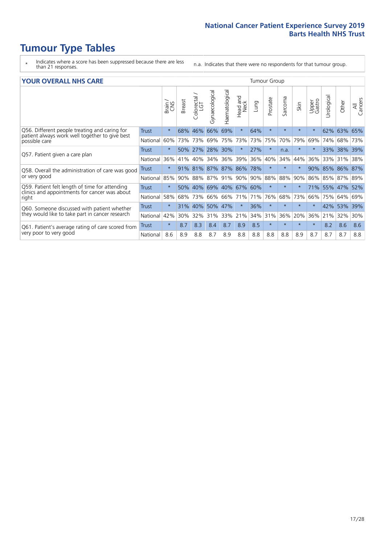### **Tumour Type Tables**

- \* Indicates where a score has been suppressed because there are less than 21 responses.
- n.a. Indicates that there were no respondents for that tumour group.

#### **YOUR OVERALL NHS CARE** THE TWO CONTROLLER THE THE THROUP CHANGE THE TUMOUR GROUP

|              | Brain<br>CNS | Breast | olorectal.<br>LGT<br>Ū | Gynaecological                             | Haematological | Head and<br>Neck              | Lung                     | Prostate           | Sarcoma    | Skin     | Upper<br>Gastro | Urologica | Other          | All<br>Cancers                                        |
|--------------|--------------|--------|------------------------|--------------------------------------------|----------------|-------------------------------|--------------------------|--------------------|------------|----------|-----------------|-----------|----------------|-------------------------------------------------------|
| Trust        | $\star$      | 68%    | 46%                    | 66%                                        | 69%            | $\star$                       | 64%                      | $\star$            | $\star$    | $\star$  | $\star$         | 62%       | 63%            | 65%                                                   |
| National     | 60%          |        |                        | 69%                                        | 75%            | 73%                           | 73%                      | 75%                | 70%        | 79%      | 69%             | 74%       | 68%            | 73%                                                   |
| Trust        | $\star$      |        |                        |                                            |                | $\star$                       | 27%                      | $\star$            | n.a.       | $^\star$ |                 | 33%       |                | 39%                                                   |
| National     | 36%          | 41%    | 40%                    | 34%                                        | 36%            | 39%                           | 36%                      |                    | 34%        | 44%      | 36%             | 33%       | 31%            | 38%                                                   |
| Trust        | $\star$      | 91%    |                        |                                            |                |                               | 78%                      | $\star$            | $\star$    | $\star$  | 90%             |           |                | 87%                                                   |
| National     | 85%          |        |                        |                                            |                |                               | 90%                      |                    | 88%        | 90%      | 86%             |           |                |                                                       |
| <b>Trust</b> | $\star$      | 50%    |                        |                                            |                |                               |                          | $\star$            | $\star$    | $\star$  |                 |           |                | 52%                                                   |
| National     | 58%          | 68%    | 73%                    | 66%                                        | 66%            |                               | 71%                      | 76%                | 68%        | 73%      | 66%             | 75%       |                | 69%                                                   |
| Trust        | $\star$      | 31%    | 40%                    | 50%                                        | 47%            | $\star$                       | 36%                      | $\star$            | $\star$    | $\star$  |                 | 42%       |                | 39%                                                   |
| National     | 42%          |        | 32%                    | 31%                                        | 33%            |                               | 34%                      |                    | 36%        | 20%      | 36%             | 21%       |                | 30%                                                   |
| Trust        | $\star$      | 8.7    | 8.3                    | 8.4                                        | 8.7            | 8.9                           | 8.5                      | $\star$            | $\star$    | $\star$  | $\star$         | 8.2       | 8.6            | 8.6                                                   |
| National     | 8.6          | 8.9    | 8.8                    | 8.7                                        | 8.9            | 8.8                           | 8.8                      | 8.8                | 8.8        | 8.9      | 8.7             | 8.7       | 8.7            | 8.8                                                   |
|              |              |        |                        | 73% 73%<br>50% 27%<br>81%<br>40%<br>$30\%$ | 90% 88%        | 28% 30%<br>87% 87%<br>87% 91% | 86%<br>90%<br>71%<br>21% | 69% 40% 67%<br>60% | 40%<br>31% | 88%      |                 |           | 85%<br>71% 55% | 38%<br>86%<br>85% 87% 89%<br>47%<br>64%<br>53%<br>32% |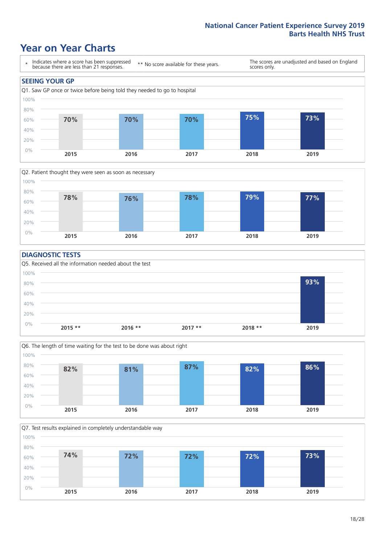### **Year on Year Charts**





#### **DIAGNOSTIC TESTS**





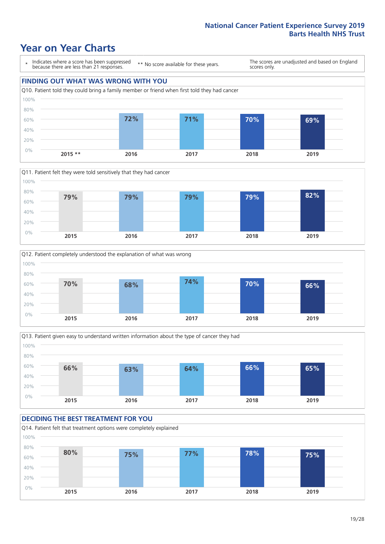### **Year on Year Charts**

\* Indicates where a score has been suppressed because there are less than 21 responses.

\*\* No score available for these years.

The scores are unadjusted and based on England scores only.









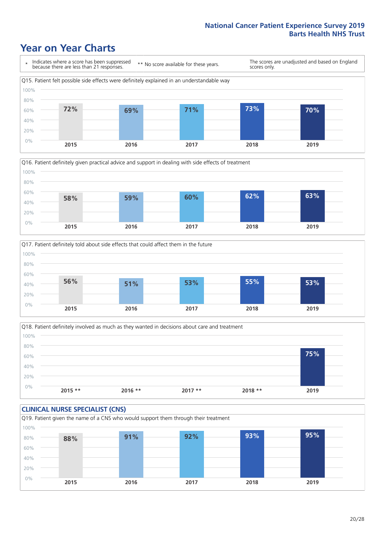### **Year on Year Charts**







Q18. Patient definitely involved as much as they wanted in decisions about care and treatment  $0%$ 20% 40% 60% 80% 100% **2015 \*\* 2016 \*\* 2017 \*\* 2018 \*\* 2019 75%**

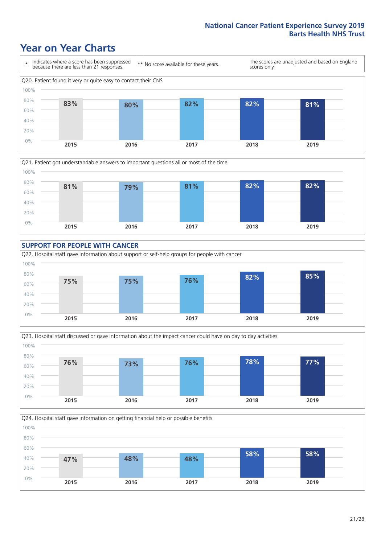### **Year on Year Charts**









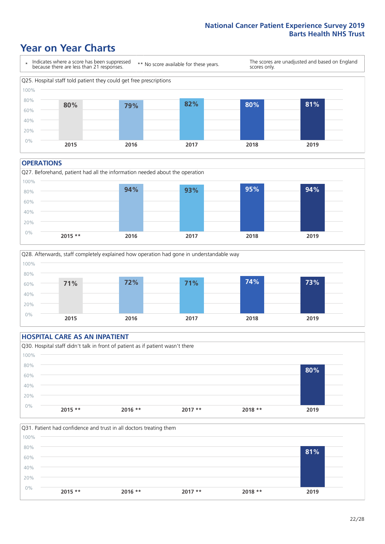### **Year on Year Charts**



#### **OPERATIONS**





#### **HOSPITAL CARE AS AN INPATIENT** Q30. Hospital staff didn't talk in front of patient as if patient wasn't there 0% 20% 40% 60% 80% 100% **2015 \*\* 2016 \*\* 2017 \*\* 2018 \*\* 2019 80%**

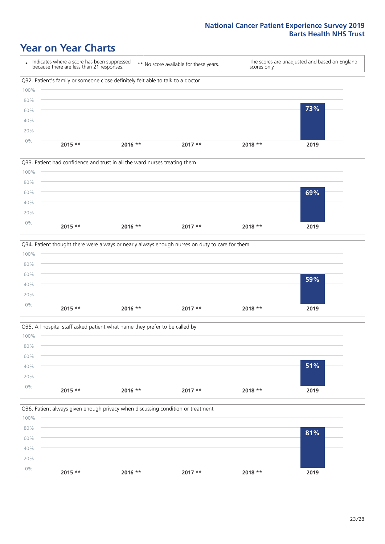### **Year on Year Charts**









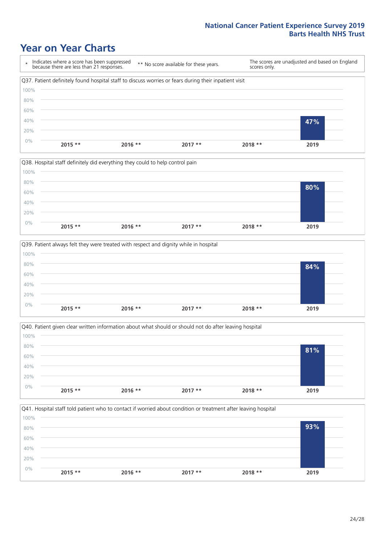### **Year on Year Charts**









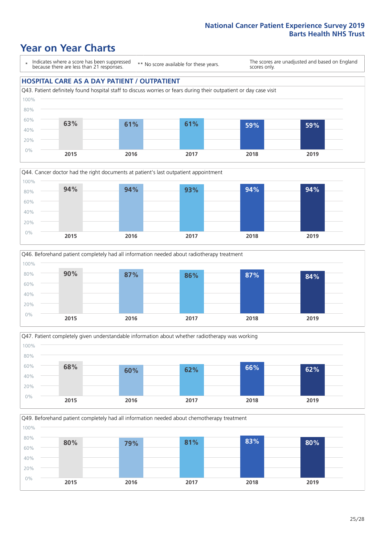### **Year on Year Charts**

\* Indicates where a score has been suppressed because there are less than 21 responses.

\*\* No score available for these years.

The scores are unadjusted and based on England scores only.

#### **HOSPITAL CARE AS A DAY PATIENT / OUTPATIENT**









Q49. Beforehand patient completely had all information needed about chemotherapy treatment 0% 20% 40% 60% 80% 100% **2015 2016 2017 2018 2019 80% 79% 81% 83% 80%**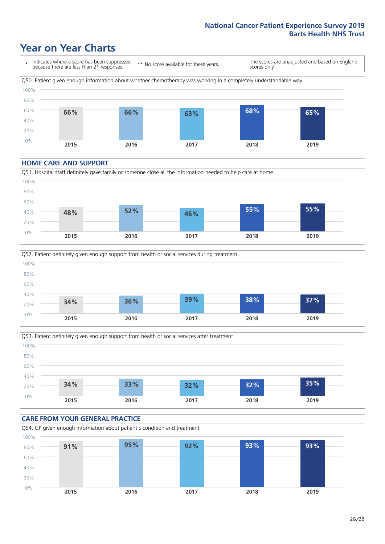### **Year on Year Charts**

\* Indicates where a score has been suppressed because there are less than 21 responses. \*\* No score available for these years. The scores are unadjusted and based on England scores only. Q50. Patient given enough information about whether chemotherapy was working in a completely understandable way 0% 20% 40% 60% 80% 100% **2015 2016 2017 2018 2019 66% 66% 63% 68% 65%**

#### **HOME CARE AND SUPPORT**







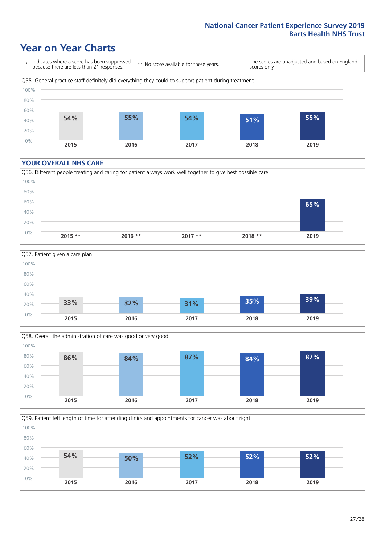### **Year on Year Charts**

\* Indicates where a score has been suppressed because there are less than 21 responses.

\*\* No score available for these years.

The scores are unadjusted and based on England scores only.



#### **YOUR OVERALL NHS CARE**







Q59. Patient felt length of time for attending clinics and appointments for cancer was about right 0% 20% 40% 60% 80% 100% **2015 2016 2017 2018 2019 54% 50% 52% 52% 52%**